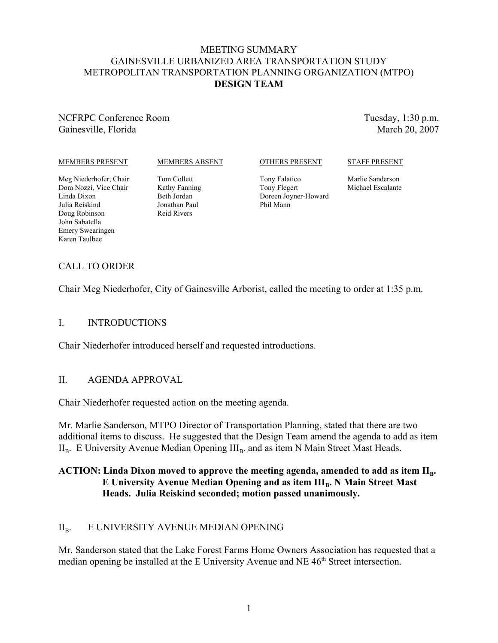## MEETING SUMMARY GAINESVILLE URBANIZED AREA TRANSPORTATION STUDY METROPOLITAN TRANSPORTATION PLANNING ORGANIZATION (MTPO) **DESIGN TEAM**

## NCFRPC Conference Room Gainesville, Florida

Tuesday, 1:30 p.m. March 20, 2007

#### MEMBERS PRESENT

#### MEMBERS ABSENT

#### OTHERS PRESENT

### STAFF PRESENT

Meg Niederhofer, Chair Dom Nozzi, Vice Chair Linda Dixon Julia Reiskind Doug Robinson John Sabatella Emery Swearingen Karen Taulbee

Tom Collett Kathy Fanning Beth Jordan Jonathan Paul Reid Rivers

Tony Falatico Tony Flegert Doreen Joyner-Howard Phil Mann

Marlie Sanderson Michael Escalante

# CALL TO ORDER

Chair Meg Niederhofer, City of Gainesville Arborist, called the meeting to order at 1:35 p.m.

## I. INTRODUCTIONS

Chair Niederhofer introduced herself and requested introductions.

## II. AGENDA APPROVAL

Chair Niederhofer requested action on the meeting agenda.

Mr. Marlie Sanderson, MTPO Director of Transportation Planning, stated that there are two additional items to discuss. He suggested that the Design Team amend the agenda to add as item  $II<sub>B</sub>$ . E University Avenue Median Opening  $III<sub>B</sub>$  and as item N Main Street Mast Heads.

# ACTION: Linda Dixon moved to approve the meeting agenda, amended to add as item II<sub>R</sub>. **E University Avenue Median Opening and as item III<sub>B</sub>. N Main Street Mast Heads. Julia Reiskind seconded; motion passed unanimously.**

# II<sub>B</sub>. E UNIVERSITY AVENUE MEDIAN OPENING

Mr. Sanderson stated that the Lake Forest Farms Home Owners Association has requested that a median opening be installed at the E University Avenue and NE 46<sup>th</sup> Street intersection.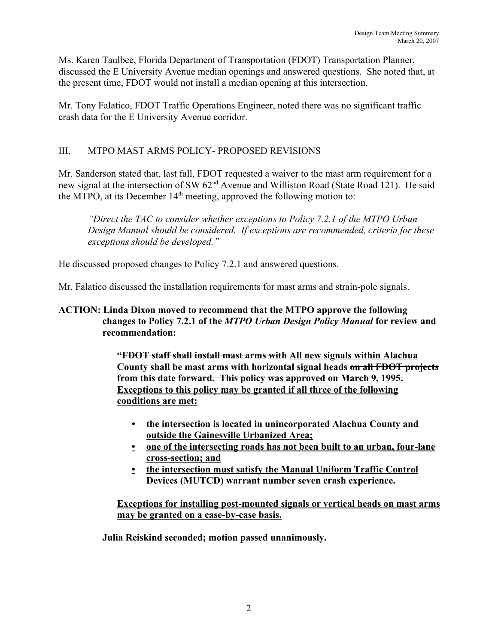Ms. Karen Taulbee, Florida Department of Transportation (FDOT) Transportation Planner, discussed the E University Avenue median openings and answered questions. She noted that, at the present time, FDOT would not install a median opening at this intersection.

Mr. Tony Falatico, FDOT Traffic Operations Engineer, noted there was no significant traffic crash data for the E University Avenue corridor.

# III. MTPO MAST ARMS POLICY- PROPOSED REVISIONS

Mr. Sanderson stated that, last fall, FDOT requested a waiver to the mast arm requirement for a new signal at the intersection of SW 62<sup>nd</sup> Avenue and Williston Road (State Road 121). He said the MTPO, at its December  $14<sup>th</sup>$  meeting, approved the following motion to:

*"Direct the TAC to consider whether exceptions to Policy 7.2.1 of the MTPO Urban Design Manual should be considered. If exceptions are recommended, criteria for these exceptions should be developed."*

He discussed proposed changes to Policy 7.2.1 and answered questions.

Mr. Falatico discussed the installation requirements for mast arms and strain-pole signals.

# **ACTION: Linda Dixon moved to recommend that the MTPO approve the following changes to Policy 7.2.1 of the** *MTPO Urban Design Policy Manual* **for review and recommendation:**

**"FDOT staff shall install mast arms with All new signals within Alachua County shall be mast arms with horizontal signal heads on all FDOT projects from this date forward. This policy was approved on March 9, 1995. Exceptions to this policy may be granted if all three of the following conditions are met:**

- **• the intersection is located in unincorporated Alachua County and outside the Gainesville Urbanized Area;**
- **• one of the intersecting roads has not been built to an urban, four-lane cross-section; and**
- **• the intersection must satisfy the Manual Uniform Traffic Control Devices (MUTCD) warrant number seven crash experience.**

**Exceptions for installing post-mounted signals or vertical heads on mast arms may be granted on a case-by-case basis.**

**Julia Reiskind seconded; motion passed unanimously.**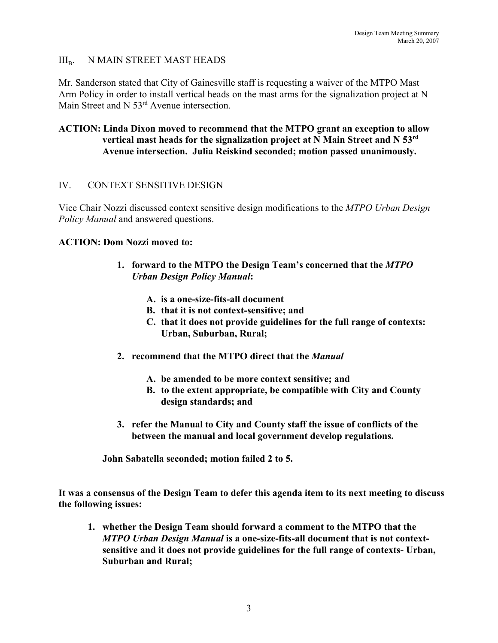## $III_{\rm B}$ . N MAIN STREET MAST HEADS

Mr. Sanderson stated that City of Gainesville staff is requesting a waiver of the MTPO Mast Arm Policy in order to install vertical heads on the mast arms for the signalization project at N Main Street and N 53<sup>rd</sup> Avenue intersection.

## **ACTION: Linda Dixon moved to recommend that the MTPO grant an exception to allow vertical mast heads for the signalization project at N Main Street and N 53rd Avenue intersection. Julia Reiskind seconded; motion passed unanimously.**

## IV. CONTEXT SENSITIVE DESIGN

Vice Chair Nozzi discussed context sensitive design modifications to the *MTPO Urban Design Policy Manual* and answered questions.

## **ACTION: Dom Nozzi moved to:**

- **1. forward to the MTPO the Design Team's concerned that the** *MTPO Urban Design Policy Manual***:**
	- **A. is a one-size-fits-all document**
	- **B. that it is not context-sensitive; and**
	- **C. that it does not provide guidelines for the full range of contexts: Urban, Suburban, Rural;**
- **2. recommend that the MTPO direct that the** *Manual*
	- **A. be amended to be more context sensitive; and**
	- **B. to the extent appropriate, be compatible with City and County design standards; and**
- **3. refer the Manual to City and County staff the issue of conflicts of the between the manual and local government develop regulations.**

**John Sabatella seconded; motion failed 2 to 5.**

**It was a consensus of the Design Team to defer this agenda item to its next meeting to discuss the following issues:**

**1. whether the Design Team should forward a comment to the MTPO that the** *MTPO Urban Design Manual* **is a one-size-fits-all document that is not contextsensitive and it does not provide guidelines for the full range of contexts- Urban, Suburban and Rural;**